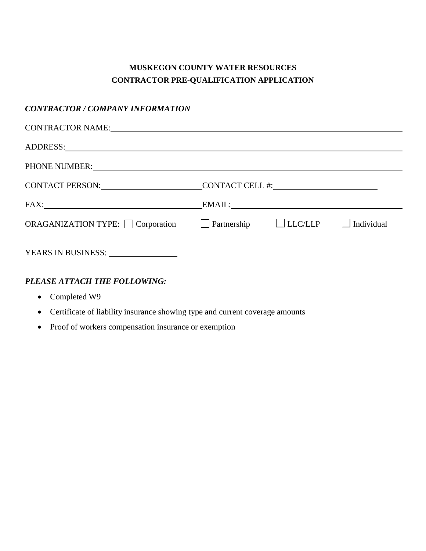# **MUSKEGON COUNTY WATER RESOURCES CONTRACTOR PRE-QUALIFICATION APPLICATION**

## *CONTRACTOR / COMPANY INFORMATION*

| CONTRACTOR NAME: NAME:                                                   |                 |            |
|--------------------------------------------------------------------------|-----------------|------------|
|                                                                          |                 |            |
|                                                                          |                 |            |
| CONTACT PERSON:                                                          | CONTACT CELL #: |            |
|                                                                          | EMAIL:          |            |
| ORAGANIZATION TYPE: $\Box$ Corporation $\Box$ Partnership $\Box$ LLC/LLP |                 | Individual |
| YEARS IN BUSINESS: _______________                                       |                 |            |

## *PLEASE ATTACH THE FOLLOWING:*

- Completed W9
- Certificate of liability insurance showing type and current coverage amounts
- Proof of workers compensation insurance or exemption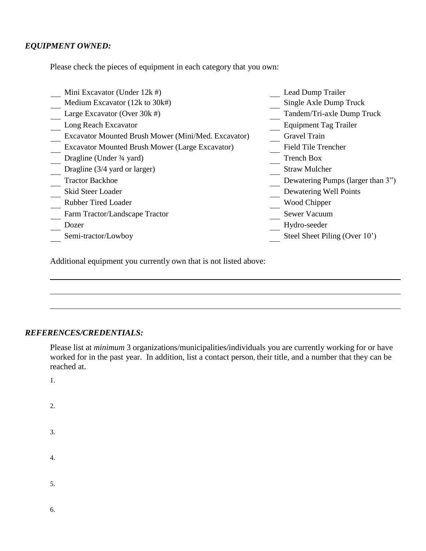### *EQUIPMENT OWNED:*

Please check the pieces of equipment in each category that you own:

| Mini Excavator (Under 12k #)                           | Lead Dump Trailer                 |
|--------------------------------------------------------|-----------------------------------|
| Medium Excavator (12k to 30k#)                         | Single Axle Dump Truck            |
| Large Excavator (Over 30k #)                           | Tandem/Tri-axle Dump Truck        |
| Long Reach Excavator                                   | <b>Equipment Tag Trailer</b>      |
| Excavator Mounted Brush Mower (Mini/Med. Excavator)    | <b>Gravel Train</b>               |
| <b>Excavator Mounted Brush Mower (Large Excavator)</b> | <b>Field Tile Trencher</b>        |
| Dragline (Under 3/4 yard)                              | <b>Trench Box</b>                 |
| Dragline $(3/4 \text{ yard or larger})$                | <b>Straw Mulcher</b>              |
| <b>Tractor Backhoe</b>                                 | Dewatering Pumps (larger than 3") |
| Skid Steer Loader                                      | Dewatering Well Points            |
| <b>Rubber Tired Loader</b>                             | Wood Chipper                      |
| Farm Tractor/Landscape Tractor                         | <b>Sewer Vacuum</b>               |
| Dozer                                                  | Hydro-seeder                      |
| Semi-tractor/Lowboy                                    | Steel Sheet Piling (Over 10')     |

Additional equipment you currently own that is not listed above:

#### *REFERENCES/CREDENTIALS:*

Please list at *minimum* 3 organizations/municipalities/individuals you are currently working for or have worked for in the past year. In addition, list a contact person, their title, and a number that they can be reached at.

1.

- 2.
- 3.
- 4.
- 
- 5.
- 6.